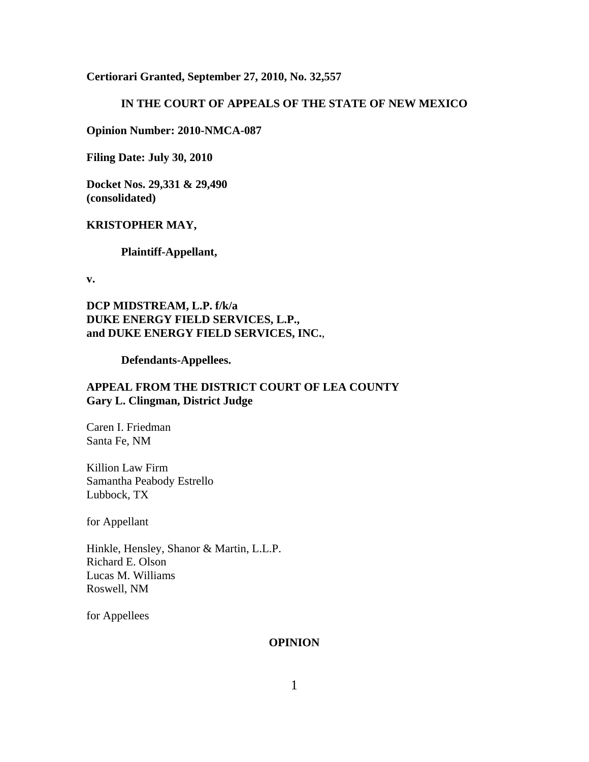#### **Certiorari Granted, September 27, 2010, No. 32,557**

## **IN THE COURT OF APPEALS OF THE STATE OF NEW MEXICO**

**Opinion Number: 2010-NMCA-087**

**Filing Date: July 30, 2010**

**Docket Nos. 29,331 & 29,490 (consolidated)**

#### **KRISTOPHER MAY,**

**Plaintiff-Appellant,**

**v.**

**DCP MIDSTREAM, L.P. f/k/a DUKE ENERGY FIELD SERVICES, L.P., and DUKE ENERGY FIELD SERVICES, INC.**,

**Defendants-Appellees.**

## **APPEAL FROM THE DISTRICT COURT OF LEA COUNTY Gary L. Clingman, District Judge**

Caren I. Friedman Santa Fe, NM

Killion Law Firm Samantha Peabody Estrello Lubbock, TX

for Appellant

Hinkle, Hensley, Shanor & Martin, L.L.P. Richard E. Olson Lucas M. Williams Roswell, NM

for Appellees

#### **OPINION**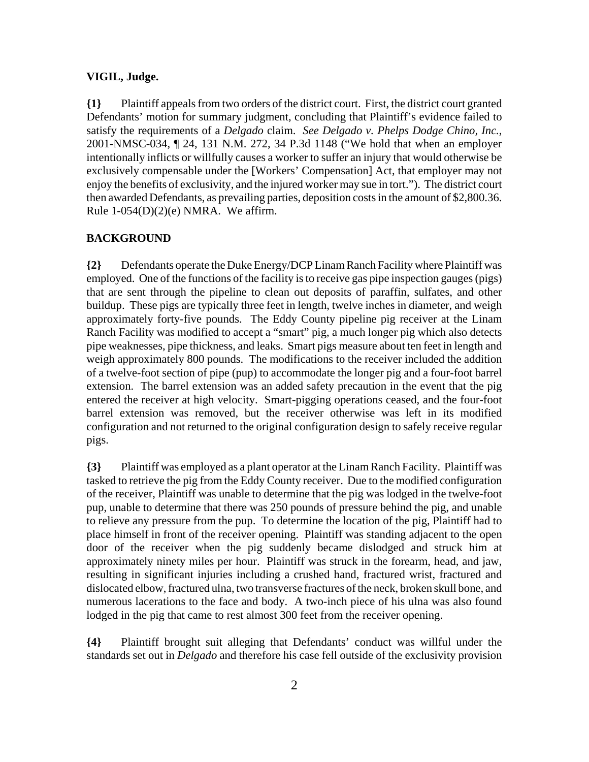#### **VIGIL, Judge.**

**{1}** Plaintiff appeals from two orders of the district court. First, the district court granted Defendants' motion for summary judgment, concluding that Plaintiff's evidence failed to satisfy the requirements of a *Delgado* claim. *See Delgado v. Phelps Dodge Chino, Inc.*, 2001-NMSC-034, ¶ 24, 131 N.M. 272, 34 P.3d 1148 ("We hold that when an employer intentionally inflicts or willfully causes a worker to suffer an injury that would otherwise be exclusively compensable under the [Workers' Compensation] Act, that employer may not enjoy the benefits of exclusivity, and the injured worker may sue in tort."). The district court then awarded Defendants, as prevailing parties, deposition costs in the amount of \$2,800.36. Rule  $1-054(D)(2)(e)$  NMRA. We affirm.

### **BACKGROUND**

**{2}** Defendants operate the Duke Energy/DCP Linam Ranch Facility where Plaintiff was employed. One of the functions of the facility is to receive gas pipe inspection gauges (pigs) that are sent through the pipeline to clean out deposits of paraffin, sulfates, and other buildup. These pigs are typically three feet in length, twelve inches in diameter, and weigh approximately forty-five pounds. The Eddy County pipeline pig receiver at the Linam Ranch Facility was modified to accept a "smart" pig, a much longer pig which also detects pipe weaknesses, pipe thickness, and leaks. Smart pigs measure about ten feet in length and weigh approximately 800 pounds. The modifications to the receiver included the addition of a twelve-foot section of pipe (pup) to accommodate the longer pig and a four-foot barrel extension. The barrel extension was an added safety precaution in the event that the pig entered the receiver at high velocity. Smart-pigging operations ceased, and the four-foot barrel extension was removed, but the receiver otherwise was left in its modified configuration and not returned to the original configuration design to safely receive regular pigs.

**{3}** Plaintiff was employed as a plant operator at the Linam Ranch Facility. Plaintiff was tasked to retrieve the pig from the Eddy County receiver. Due to the modified configuration of the receiver, Plaintiff was unable to determine that the pig was lodged in the twelve-foot pup, unable to determine that there was 250 pounds of pressure behind the pig, and unable to relieve any pressure from the pup. To determine the location of the pig, Plaintiff had to place himself in front of the receiver opening. Plaintiff was standing adjacent to the open door of the receiver when the pig suddenly became dislodged and struck him at approximately ninety miles per hour. Plaintiff was struck in the forearm, head, and jaw, resulting in significant injuries including a crushed hand, fractured wrist, fractured and dislocated elbow, fractured ulna, two transverse fractures of the neck, broken skull bone, and numerous lacerations to the face and body. A two-inch piece of his ulna was also found lodged in the pig that came to rest almost 300 feet from the receiver opening.

**{4}** Plaintiff brought suit alleging that Defendants' conduct was willful under the standards set out in *Delgado* and therefore his case fell outside of the exclusivity provision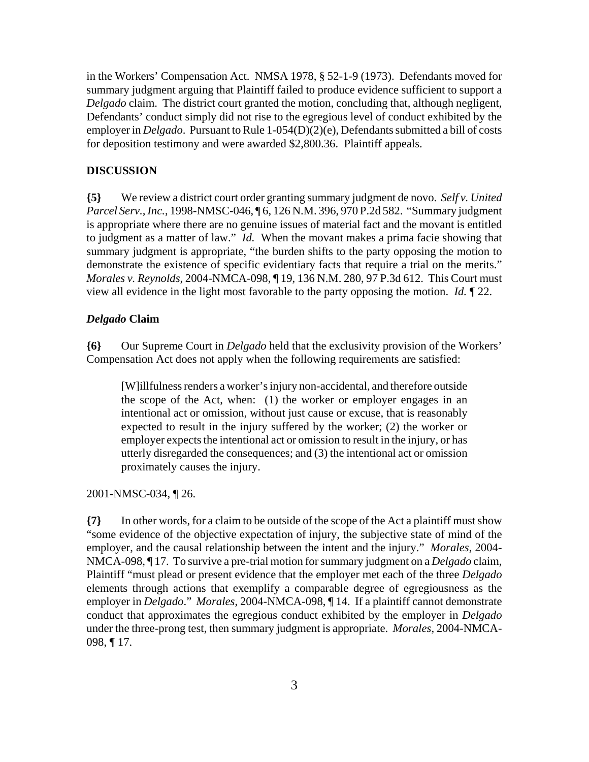in the Workers' Compensation Act. NMSA 1978, § 52-1-9 (1973). Defendants moved for summary judgment arguing that Plaintiff failed to produce evidence sufficient to support a *Delgado* claim. The district court granted the motion, concluding that, although negligent, Defendants' conduct simply did not rise to the egregious level of conduct exhibited by the employer in *Delgado*. Pursuant to Rule 1-054(D)(2)(e), Defendants submitted a bill of costs for deposition testimony and were awarded \$2,800.36. Plaintiff appeals.

#### **DISCUSSION**

**{5}** We review a district court order granting summary judgment de novo. *Self v. United Parcel Serv., Inc.*, 1998-NMSC-046, ¶ 6, 126 N.M. 396, 970 P.2d 582. "Summary judgment is appropriate where there are no genuine issues of material fact and the movant is entitled to judgment as a matter of law." *Id.* When the movant makes a prima facie showing that summary judgment is appropriate, "the burden shifts to the party opposing the motion to demonstrate the existence of specific evidentiary facts that require a trial on the merits." *Morales v. Reynolds*, 2004-NMCA-098, ¶ 19, 136 N.M. 280, 97 P.3d 612. This Court must view all evidence in the light most favorable to the party opposing the motion. *Id.* ¶ 22.

#### *Delgado* **Claim**

**{6}** Our Supreme Court in *Delgado* held that the exclusivity provision of the Workers' Compensation Act does not apply when the following requirements are satisfied:

[W]illfulness renders a worker's injury non-accidental, and therefore outside the scope of the Act, when: (1) the worker or employer engages in an intentional act or omission, without just cause or excuse, that is reasonably expected to result in the injury suffered by the worker; (2) the worker or employer expects the intentional act or omission to result in the injury, or has utterly disregarded the consequences; and (3) the intentional act or omission proximately causes the injury.

2001-NMSC-034, ¶ 26.

**{7}** In other words, for a claim to be outside of the scope of the Act a plaintiff must show "some evidence of the objective expectation of injury, the subjective state of mind of the employer, and the causal relationship between the intent and the injury." *Morales*, 2004- NMCA-098, ¶ 17. To survive a pre-trial motion for summary judgment on a *Delgado* claim, Plaintiff "must plead or present evidence that the employer met each of the three *Delgado* elements through actions that exemplify a comparable degree of egregiousness as the employer in *Delgado*." *Morales*, 2004-NMCA-098, ¶ 14. If a plaintiff cannot demonstrate conduct that approximates the egregious conduct exhibited by the employer in *Delgado* under the three-prong test, then summary judgment is appropriate. *Morales*, 2004-NMCA-098, ¶ 17.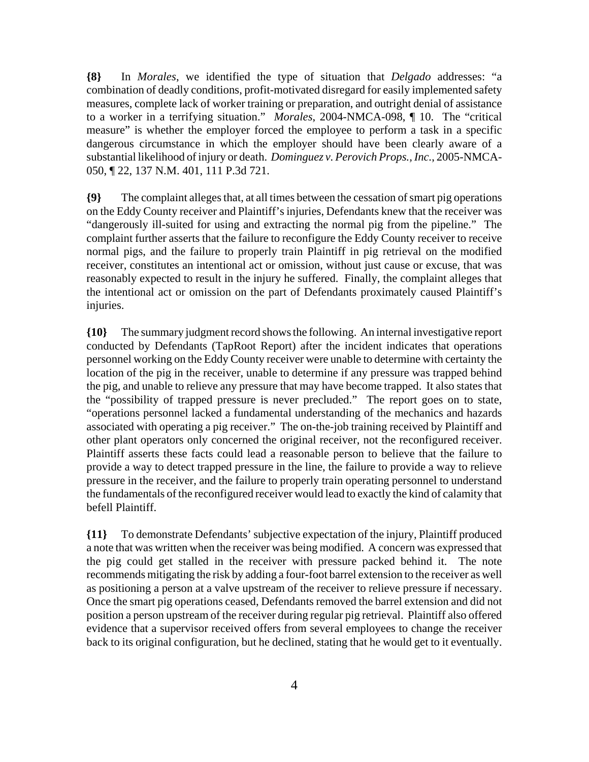**{8}** In *Morales*, we identified the type of situation that *Delgado* addresses: "a combination of deadly conditions, profit-motivated disregard for easily implemented safety measures, complete lack of worker training or preparation, and outright denial of assistance to a worker in a terrifying situation." *Morales*, 2004-NMCA-098, ¶ 10. The "critical measure" is whether the employer forced the employee to perform a task in a specific dangerous circumstance in which the employer should have been clearly aware of a substantial likelihood of injury or death. *Dominguez v. Perovich Props., Inc.*, 2005-NMCA-050, ¶ 22, 137 N.M. 401, 111 P.3d 721.

**{9}** The complaint alleges that, at all times between the cessation of smart pig operations on the Eddy County receiver and Plaintiff's injuries, Defendants knew that the receiver was "dangerously ill-suited for using and extracting the normal pig from the pipeline." The complaint further asserts that the failure to reconfigure the Eddy County receiver to receive normal pigs, and the failure to properly train Plaintiff in pig retrieval on the modified receiver, constitutes an intentional act or omission, without just cause or excuse, that was reasonably expected to result in the injury he suffered. Finally, the complaint alleges that the intentional act or omission on the part of Defendants proximately caused Plaintiff's injuries.

**{10}** The summary judgment record shows the following. An internal investigative report conducted by Defendants (TapRoot Report) after the incident indicates that operations personnel working on the Eddy County receiver were unable to determine with certainty the location of the pig in the receiver, unable to determine if any pressure was trapped behind the pig, and unable to relieve any pressure that may have become trapped. It also states that the "possibility of trapped pressure is never precluded." The report goes on to state, "operations personnel lacked a fundamental understanding of the mechanics and hazards associated with operating a pig receiver." The on-the-job training received by Plaintiff and other plant operators only concerned the original receiver, not the reconfigured receiver. Plaintiff asserts these facts could lead a reasonable person to believe that the failure to provide a way to detect trapped pressure in the line, the failure to provide a way to relieve pressure in the receiver, and the failure to properly train operating personnel to understand the fundamentals of the reconfigured receiver would lead to exactly the kind of calamity that befell Plaintiff.

**{11}** To demonstrate Defendants' subjective expectation of the injury, Plaintiff produced a note that was written when the receiver was being modified. A concern was expressed that the pig could get stalled in the receiver with pressure packed behind it. The note recommends mitigating the risk by adding a four-foot barrel extension to the receiver as well as positioning a person at a valve upstream of the receiver to relieve pressure if necessary. Once the smart pig operations ceased, Defendants removed the barrel extension and did not position a person upstream of the receiver during regular pig retrieval. Plaintiff also offered evidence that a supervisor received offers from several employees to change the receiver back to its original configuration, but he declined, stating that he would get to it eventually.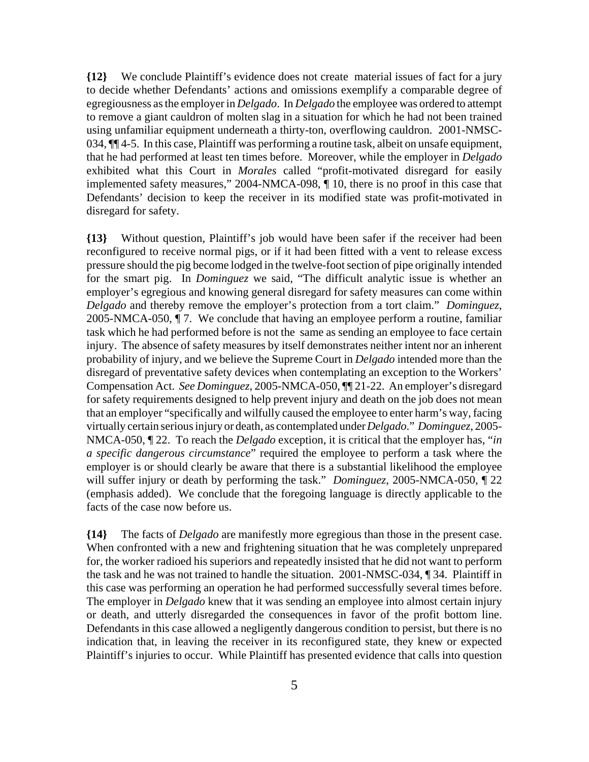**{12}** We conclude Plaintiff's evidence does not create material issues of fact for a jury to decide whether Defendants' actions and omissions exemplify a comparable degree of egregiousness as the employer in *Delgado*. In *Delgado* the employee was ordered to attempt to remove a giant cauldron of molten slag in a situation for which he had not been trained using unfamiliar equipment underneath a thirty-ton, overflowing cauldron. 2001-NMSC-034, ¶¶ 4-5. In this case, Plaintiff was performing a routine task, albeit on unsafe equipment, that he had performed at least ten times before. Moreover, while the employer in *Delgado* exhibited what this Court in *Morales* called "profit-motivated disregard for easily implemented safety measures," 2004-NMCA-098, ¶ 10, there is no proof in this case that Defendants' decision to keep the receiver in its modified state was profit-motivated in disregard for safety.

**{13}** Without question, Plaintiff's job would have been safer if the receiver had been reconfigured to receive normal pigs, or if it had been fitted with a vent to release excess pressure should the pig become lodged in the twelve-foot section of pipe originally intended for the smart pig. In *Dominguez* we said, "The difficult analytic issue is whether an employer's egregious and knowing general disregard for safety measures can come within *Delgado* and thereby remove the employer's protection from a tort claim." *Dominguez*, 2005-NMCA-050, ¶ 7. We conclude that having an employee perform a routine, familiar task which he had performed before is not the same as sending an employee to face certain injury. The absence of safety measures by itself demonstrates neither intent nor an inherent probability of injury, and we believe the Supreme Court in *Delgado* intended more than the disregard of preventative safety devices when contemplating an exception to the Workers' Compensation Act. *See Dominguez*, 2005-NMCA-050, ¶¶ 21-22. An employer's disregard for safety requirements designed to help prevent injury and death on the job does not mean that an employer "specifically and wilfully caused the employee to enter harm's way, facing virtually certain serious injury or death, as contemplated under *Delgado*." *Dominguez*, 2005- NMCA-050, ¶ 22. To reach the *Delgado* exception, it is critical that the employer has, "*in a specific dangerous circumstance*" required the employee to perform a task where the employer is or should clearly be aware that there is a substantial likelihood the employee will suffer injury or death by performing the task." *Dominguez*, 2005-NMCA-050, ¶ 22 (emphasis added). We conclude that the foregoing language is directly applicable to the facts of the case now before us.

**{14}** The facts of *Delgado* are manifestly more egregious than those in the present case. When confronted with a new and frightening situation that he was completely unprepared for, the worker radioed his superiors and repeatedly insisted that he did not want to perform the task and he was not trained to handle the situation. 2001-NMSC-034, ¶ 34. Plaintiff in this case was performing an operation he had performed successfully several times before. The employer in *Delgado* knew that it was sending an employee into almost certain injury or death, and utterly disregarded the consequences in favor of the profit bottom line. Defendants in this case allowed a negligently dangerous condition to persist, but there is no indication that, in leaving the receiver in its reconfigured state, they knew or expected Plaintiff's injuries to occur. While Plaintiff has presented evidence that calls into question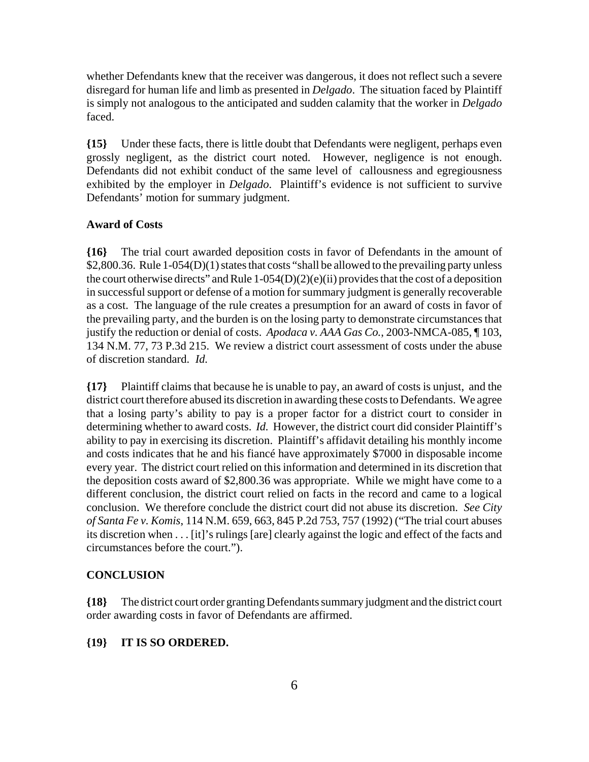whether Defendants knew that the receiver was dangerous, it does not reflect such a severe disregard for human life and limb as presented in *Delgado*. The situation faced by Plaintiff is simply not analogous to the anticipated and sudden calamity that the worker in *Delgado* faced.

**{15}** Under these facts, there is little doubt that Defendants were negligent, perhaps even grossly negligent, as the district court noted. However, negligence is not enough. Defendants did not exhibit conduct of the same level of callousness and egregiousness exhibited by the employer in *Delgado*. Plaintiff's evidence is not sufficient to survive Defendants' motion for summary judgment.

#### **Award of Costs**

**{16}** The trial court awarded deposition costs in favor of Defendants in the amount of \$2,800.36. Rule 1-054(D)(1) states that costs "shall be allowed to the prevailing party unless the court otherwise directs" and Rule 1-054(D)(2)(e)(ii) provides that the cost of a deposition in successful support or defense of a motion for summary judgment is generally recoverable as a cost. The language of the rule creates a presumption for an award of costs in favor of the prevailing party, and the burden is on the losing party to demonstrate circumstances that justify the reduction or denial of costs. *Apodaca v. AAA Gas Co.*, 2003-NMCA-085, ¶ 103, 134 N.M. 77, 73 P.3d 215. We review a district court assessment of costs under the abuse of discretion standard. *Id.*

**{17}** Plaintiff claims that because he is unable to pay, an award of costs is unjust, and the district court therefore abused its discretion in awarding these costs to Defendants. We agree that a losing party's ability to pay is a proper factor for a district court to consider in determining whether to award costs. *Id.* However, the district court did consider Plaintiff's ability to pay in exercising its discretion. Plaintiff's affidavit detailing his monthly income and costs indicates that he and his fiancé have approximately \$7000 in disposable income every year. The district court relied on this information and determined in its discretion that the deposition costs award of \$2,800.36 was appropriate. While we might have come to a different conclusion, the district court relied on facts in the record and came to a logical conclusion. We therefore conclude the district court did not abuse its discretion. *See City of Santa Fe v. Komis*, 114 N.M. 659, 663, 845 P.2d 753, 757 (1992) ("The trial court abuses its discretion when . . . [it]'s rulings [are] clearly against the logic and effect of the facts and circumstances before the court.").

#### **CONCLUSION**

**{18}** The district court order granting Defendants summary judgment and the district court order awarding costs in favor of Defendants are affirmed.

#### **{19} IT IS SO ORDERED.**